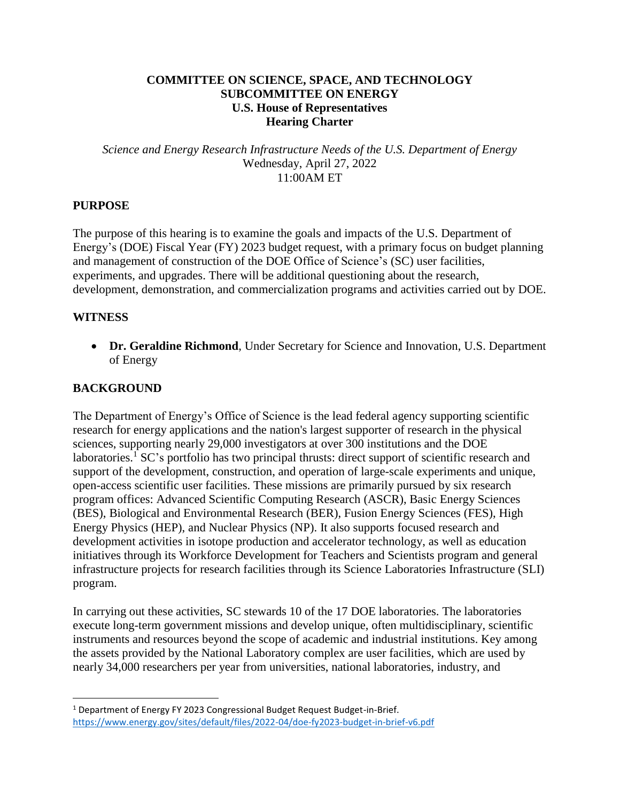#### **COMMITTEE ON SCIENCE, SPACE, AND TECHNOLOGY SUBCOMMITTEE ON ENERGY U.S. House of Representatives Hearing Charter**

*Science and Energy Research Infrastructure Needs of the U.S. Department of Energy* Wednesday, April 27, 2022 11:00AM ET

## **PURPOSE**

The purpose of this hearing is to examine the goals and impacts of the U.S. Department of Energy's (DOE) Fiscal Year (FY) 2023 budget request, with a primary focus on budget planning and management of construction of the DOE Office of Science's (SC) user facilities, experiments, and upgrades. There will be additional questioning about the research, development, demonstration, and commercialization programs and activities carried out by DOE.

#### **WITNESS**

 $\overline{\phantom{a}}$ 

 **Dr. Geraldine Richmond**, Under Secretary for Science and Innovation, U.S. Department of Energy

## **BACKGROUND**

The Department of Energy's Office of Science is the lead federal agency supporting scientific research for energy applications and the nation's largest supporter of research in the physical sciences, supporting nearly 29,000 investigators at over 300 institutions and the DOE laboratories.<sup>1</sup> SC's portfolio has two principal thrusts: direct support of scientific research and support of the development, construction, and operation of large-scale experiments and unique, open-access scientific user facilities. These missions are primarily pursued by six research program offices: Advanced Scientific Computing Research (ASCR), Basic Energy Sciences (BES), Biological and Environmental Research (BER), Fusion Energy Sciences (FES), High Energy Physics (HEP), and Nuclear Physics (NP). It also supports focused research and development activities in isotope production and accelerator technology, as well as education initiatives through its Workforce Development for Teachers and Scientists program and general infrastructure projects for research facilities through its Science Laboratories Infrastructure (SLI) program.

In carrying out these activities, SC stewards 10 of the 17 DOE laboratories. The laboratories execute long-term government missions and develop unique, often multidisciplinary, scientific instruments and resources beyond the scope of academic and industrial institutions. Key among the assets provided by the National Laboratory complex are user facilities, which are used by nearly 34,000 researchers per year from universities, national laboratories, industry, and

<sup>&</sup>lt;sup>1</sup> Department of Energy FY 2023 Congressional Budget Request Budget-in-Brief. <https://www.energy.gov/sites/default/files/2022-04/doe-fy2023-budget-in-brief-v6.pdf>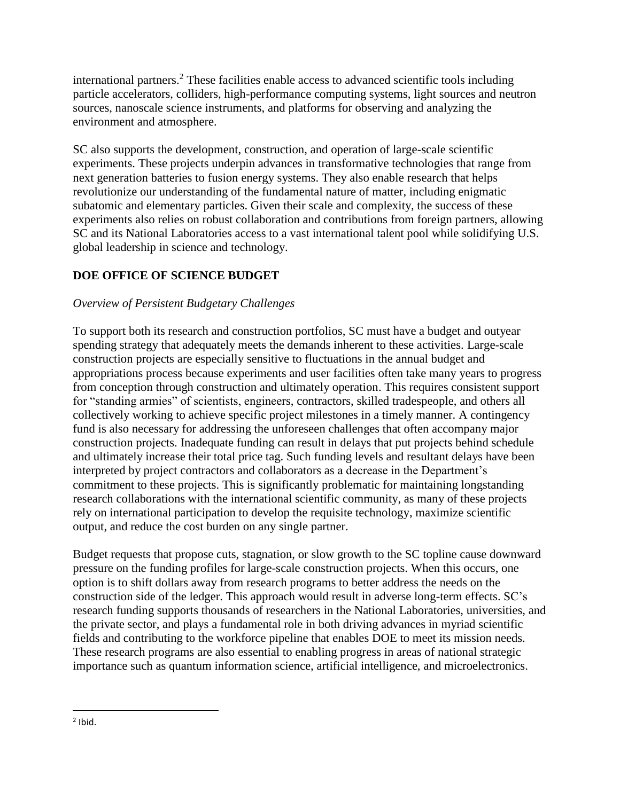international partners.<sup>2</sup> These facilities enable access to advanced scientific tools including particle accelerators, colliders, high-performance computing systems, light sources and neutron sources, nanoscale science instruments, and platforms for observing and analyzing the environment and atmosphere.

SC also supports the development, construction, and operation of large-scale scientific experiments. These projects underpin advances in transformative technologies that range from next generation batteries to fusion energy systems. They also enable research that helps revolutionize our understanding of the fundamental nature of matter, including enigmatic subatomic and elementary particles. Given their scale and complexity, the success of these experiments also relies on robust collaboration and contributions from foreign partners, allowing SC and its National Laboratories access to a vast international talent pool while solidifying U.S. global leadership in science and technology.

# **DOE OFFICE OF SCIENCE BUDGET**

# *Overview of Persistent Budgetary Challenges*

To support both its research and construction portfolios, SC must have a budget and outyear spending strategy that adequately meets the demands inherent to these activities. Large-scale construction projects are especially sensitive to fluctuations in the annual budget and appropriations process because experiments and user facilities often take many years to progress from conception through construction and ultimately operation. This requires consistent support for "standing armies" of scientists, engineers, contractors, skilled tradespeople, and others all collectively working to achieve specific project milestones in a timely manner. A contingency fund is also necessary for addressing the unforeseen challenges that often accompany major construction projects. Inadequate funding can result in delays that put projects behind schedule and ultimately increase their total price tag. Such funding levels and resultant delays have been interpreted by project contractors and collaborators as a decrease in the Department's commitment to these projects. This is significantly problematic for maintaining longstanding research collaborations with the international scientific community, as many of these projects rely on international participation to develop the requisite technology, maximize scientific output, and reduce the cost burden on any single partner.

Budget requests that propose cuts, stagnation, or slow growth to the SC topline cause downward pressure on the funding profiles for large-scale construction projects. When this occurs, one option is to shift dollars away from research programs to better address the needs on the construction side of the ledger. This approach would result in adverse long-term effects. SC's research funding supports thousands of researchers in the National Laboratories, universities, and the private sector, and plays a fundamental role in both driving advances in myriad scientific fields and contributing to the workforce pipeline that enables DOE to meet its mission needs. These research programs are also essential to enabling progress in areas of national strategic importance such as quantum information science, artificial intelligence, and microelectronics.

 $\overline{\phantom{a}}$ 

 $<sup>2</sup>$  Ibid.</sup>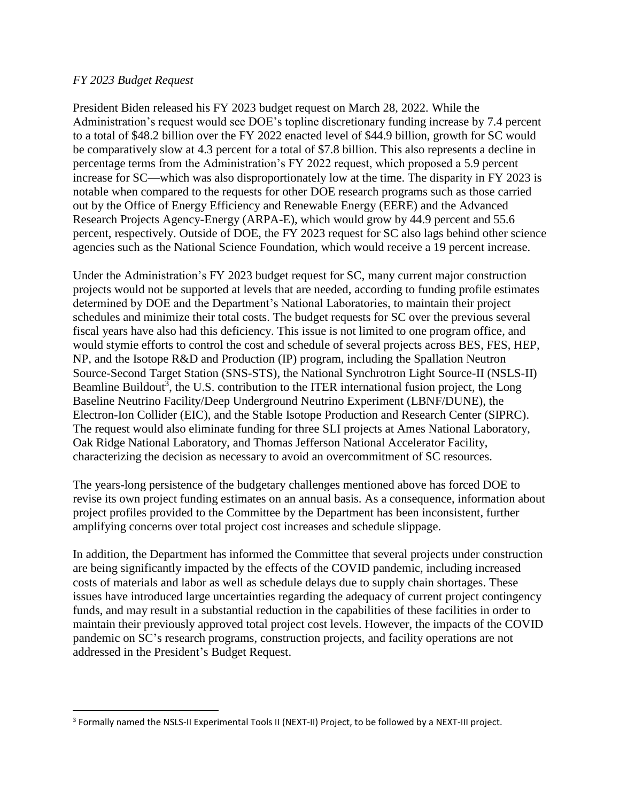#### *FY 2023 Budget Request*

 $\overline{\phantom{a}}$ 

President Biden released his FY 2023 budget request on March 28, 2022. While the Administration's request would see DOE's topline discretionary funding increase by 7.4 percent to a total of \$48.2 billion over the FY 2022 enacted level of \$44.9 billion, growth for SC would be comparatively slow at 4.3 percent for a total of \$7.8 billion. This also represents a decline in percentage terms from the Administration's FY 2022 request, which proposed a 5.9 percent increase for SC—which was also disproportionately low at the time. The disparity in FY 2023 is notable when compared to the requests for other DOE research programs such as those carried out by the Office of Energy Efficiency and Renewable Energy (EERE) and the Advanced Research Projects Agency-Energy (ARPA-E), which would grow by 44.9 percent and 55.6 percent, respectively. Outside of DOE, the FY 2023 request for SC also lags behind other science agencies such as the National Science Foundation, which would receive a 19 percent increase.

Under the Administration's FY 2023 budget request for SC, many current major construction projects would not be supported at levels that are needed, according to funding profile estimates determined by DOE and the Department's National Laboratories, to maintain their project schedules and minimize their total costs. The budget requests for SC over the previous several fiscal years have also had this deficiency. This issue is not limited to one program office, and would stymie efforts to control the cost and schedule of several projects across BES, FES, HEP, NP, and the Isotope R&D and Production (IP) program, including the Spallation Neutron Source-Second Target Station (SNS-STS), the National Synchrotron Light Source-II (NSLS-II) Beamline Buildout<sup>3</sup>, the U.S. contribution to the ITER international fusion project, the Long Baseline Neutrino Facility/Deep Underground Neutrino Experiment (LBNF/DUNE), the Electron-Ion Collider (EIC), and the Stable Isotope Production and Research Center (SIPRC). The request would also eliminate funding for three SLI projects at Ames National Laboratory, Oak Ridge National Laboratory, and Thomas Jefferson National Accelerator Facility, characterizing the decision as necessary to avoid an overcommitment of SC resources.

The years-long persistence of the budgetary challenges mentioned above has forced DOE to revise its own project funding estimates on an annual basis. As a consequence, information about project profiles provided to the Committee by the Department has been inconsistent, further amplifying concerns over total project cost increases and schedule slippage.

In addition, the Department has informed the Committee that several projects under construction are being significantly impacted by the effects of the COVID pandemic, including increased costs of materials and labor as well as schedule delays due to supply chain shortages. These issues have introduced large uncertainties regarding the adequacy of current project contingency funds, and may result in a substantial reduction in the capabilities of these facilities in order to maintain their previously approved total project cost levels. However, the impacts of the COVID pandemic on SC's research programs, construction projects, and facility operations are not addressed in the President's Budget Request.

<sup>&</sup>lt;sup>3</sup> Formally named the NSLS-II Experimental Tools II (NEXT-II) Project, to be followed by a NEXT-III project.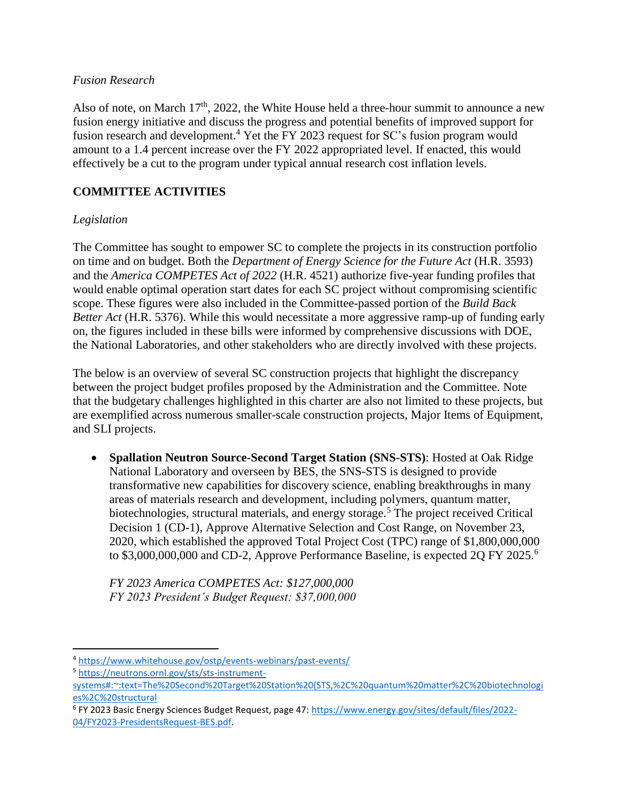#### *Fusion Research*

Also of note, on March  $17<sup>th</sup>$ , 2022, the White House held a three-hour summit to announce a new fusion energy initiative and discuss the progress and potential benefits of improved support for fusion research and development.<sup>4</sup> Yet the FY 2023 request for SC's fusion program would amount to a 1.4 percent increase over the FY 2022 appropriated level. If enacted, this would effectively be a cut to the program under typical annual research cost inflation levels.

# **COMMITTEE ACTIVITIES**

#### *Legislation*

The Committee has sought to empower SC to complete the projects in its construction portfolio on time and on budget. Both the *Department of Energy Science for the Future Act* (H.R. 3593) and the *America COMPETES Act of 2022* (H.R. 4521) authorize five-year funding profiles that would enable optimal operation start dates for each SC project without compromising scientific scope. These figures were also included in the Committee-passed portion of the *Build Back Better Act* (H.R. 5376). While this would necessitate a more aggressive ramp-up of funding early on, the figures included in these bills were informed by comprehensive discussions with DOE, the National Laboratories, and other stakeholders who are directly involved with these projects.

The below is an overview of several SC construction projects that highlight the discrepancy between the project budget profiles proposed by the Administration and the Committee. Note that the budgetary challenges highlighted in this charter are also not limited to these projects, but are exemplified across numerous smaller-scale construction projects, Major Items of Equipment, and SLI projects.

 **Spallation Neutron Source-Second Target Station (SNS-STS)**: Hosted at Oak Ridge National Laboratory and overseen by BES, the SNS-STS is designed to provide transformative new capabilities for discovery science, enabling breakthroughs in many areas of materials research and development, including polymers, quantum matter, biotechnologies, structural materials, and energy storage.<sup>5</sup> The project received Critical Decision 1 (CD-1), Approve Alternative Selection and Cost Range, on November 23, 2020, which established the approved Total Project Cost (TPC) range of \$1,800,000,000 to \$3,000,000,000 and CD-2, Approve Performance Baseline, is expected 2Q FY 2025.<sup>6</sup>

*FY 2023 America COMPETES Act: \$127,000,000 FY 2023 President's Budget Request: \$37,000,000*

l

<sup>4</sup> <https://www.whitehouse.gov/ostp/events-webinars/past-events/>

<sup>5</sup> [https://neutrons.ornl.gov/sts/sts-instrument-](https://neutrons.ornl.gov/sts/sts-instrument-systems#:~:text=The%20Second%20Target%20Station%20(STS,%2C%20quantum%20matter%2C%20biotechnologies%2C%20structural)

[systems#:~:text=The%20Second%20Target%20Station%20\(STS,%2C%20quantum%20matter%2C%20biotechnologi](https://neutrons.ornl.gov/sts/sts-instrument-systems#:~:text=The%20Second%20Target%20Station%20(STS,%2C%20quantum%20matter%2C%20biotechnologies%2C%20structural) [es%2C%20structural](https://neutrons.ornl.gov/sts/sts-instrument-systems#:~:text=The%20Second%20Target%20Station%20(STS,%2C%20quantum%20matter%2C%20biotechnologies%2C%20structural)

<sup>&</sup>lt;sup>6</sup> FY 2023 Basic Energy Sciences Budget Request, page 47: [https://www.energy.gov/sites/default/files/2022-](https://www.energy.gov/sites/default/files/2022-04/FY2023-PresidentsRequest-BES.pdf) [04/FY2023-PresidentsRequest-BES.pdf.](https://www.energy.gov/sites/default/files/2022-04/FY2023-PresidentsRequest-BES.pdf)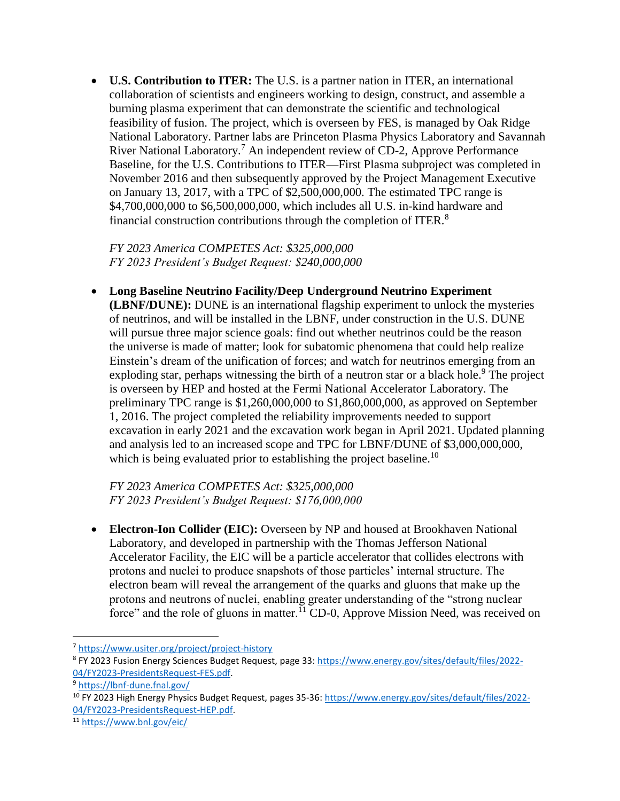**U.S. Contribution to ITER:** The U.S. is a partner nation in ITER, an international collaboration of scientists and engineers working to design, construct, and assemble a burning plasma experiment that can demonstrate the scientific and technological feasibility of fusion. The project, which is overseen by FES, is managed by Oak Ridge National Laboratory. Partner labs are Princeton Plasma Physics Laboratory and Savannah River National Laboratory.<sup>7</sup> An independent review of CD-2, Approve Performance Baseline, for the U.S. Contributions to ITER—First Plasma subproject was completed in November 2016 and then subsequently approved by the Project Management Executive on January 13, 2017, with a TPC of \$2,500,000,000. The estimated TPC range is \$4,700,000,000 to \$6,500,000,000, which includes all U.S. in-kind hardware and financial construction contributions through the completion of ITER.<sup>8</sup>

*FY 2023 America COMPETES Act: \$325,000,000 FY 2023 President's Budget Request: \$240,000,000*

 **Long Baseline Neutrino Facility/Deep Underground Neutrino Experiment (LBNF/DUNE):** DUNE is an international flagship experiment to unlock the mysteries of neutrinos, and will be installed in the LBNF, under construction in the U.S. DUNE will pursue three major science goals: find out whether neutrinos could be the reason the universe is made of matter; look for subatomic phenomena that could help realize Einstein's dream of the unification of forces; and watch for neutrinos emerging from an exploding star, perhaps witnessing the birth of a neutron star or a black hole.<sup>9</sup> The project

is overseen by HEP and hosted at the Fermi National Accelerator Laboratory. The preliminary TPC range is \$1,260,000,000 to \$1,860,000,000, as approved on September 1, 2016. The project completed the reliability improvements needed to support excavation in early 2021 and the excavation work began in April 2021. Updated planning and analysis led to an increased scope and TPC for LBNF/DUNE of \$3,000,000,000, which is being evaluated prior to establishing the project baseline.<sup>10</sup>

*FY 2023 America COMPETES Act: \$325,000,000 FY 2023 President's Budget Request: \$176,000,000*

 **Electron-Ion Collider (EIC):** Overseen by NP and housed at Brookhaven National Laboratory, and developed in partnership with the Thomas Jefferson National Accelerator Facility, the EIC will be a particle accelerator that collides electrons with protons and nuclei to produce snapshots of those particles' internal structure. The electron beam will reveal the arrangement of the quarks and gluons that make up the protons and neutrons of nuclei, enabling greater understanding of the "strong nuclear force" and the role of gluons in matter.<sup>11</sup> CD-0, Approve Mission Need, was received on

 $\overline{\phantom{a}}$ 

<sup>7</sup> <https://www.usiter.org/project/project-history>

<sup>8</sup> FY 2023 Fusion Energy Sciences Budget Request, page 33[: https://www.energy.gov/sites/default/files/2022-](https://www.energy.gov/sites/default/files/2022-04/FY2023-PresidentsRequest-FES.pdf) [04/FY2023-PresidentsRequest-FES.pdf.](https://www.energy.gov/sites/default/files/2022-04/FY2023-PresidentsRequest-FES.pdf)

<sup>9</sup> <https://lbnf-dune.fnal.gov/>

<sup>10</sup> FY 2023 High Energy Physics Budget Request, pages 35-36: [https://www.energy.gov/sites/default/files/2022-](https://www.energy.gov/sites/default/files/2022-04/FY2023-PresidentsRequest-HEP.pdf) [04/FY2023-PresidentsRequest-HEP.pdf.](https://www.energy.gov/sites/default/files/2022-04/FY2023-PresidentsRequest-HEP.pdf)

<sup>11</sup> <https://www.bnl.gov/eic/>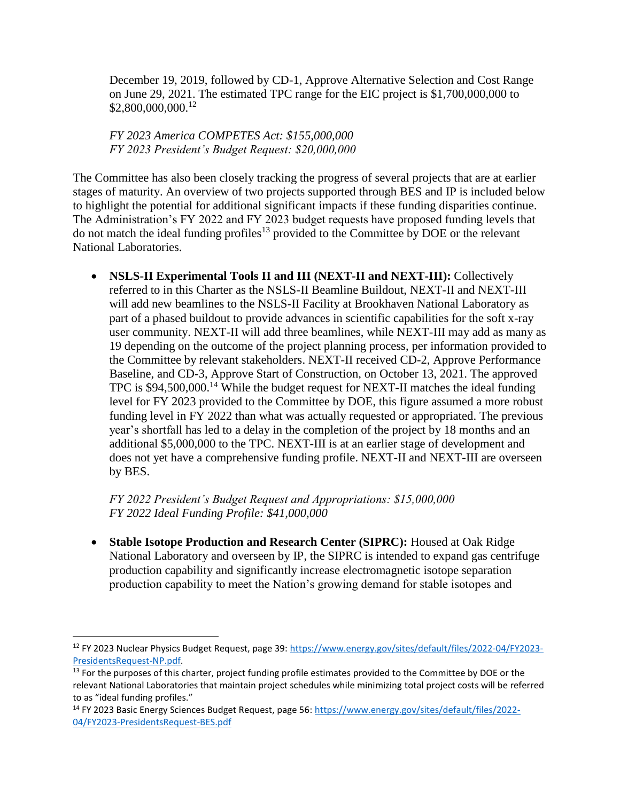December 19, 2019, followed by CD-1, Approve Alternative Selection and Cost Range on June 29, 2021. The estimated TPC range for the EIC project is \$1,700,000,000 to \$2,800,000,000.<sup>12</sup>

*FY 2023 America COMPETES Act: \$155,000,000 FY 2023 President's Budget Request: \$20,000,000*

The Committee has also been closely tracking the progress of several projects that are at earlier stages of maturity. An overview of two projects supported through BES and IP is included below to highlight the potential for additional significant impacts if these funding disparities continue. The Administration's FY 2022 and FY 2023 budget requests have proposed funding levels that do not match the ideal funding profiles<sup>13</sup> provided to the Committee by DOE or the relevant National Laboratories.

• **NSLS-II Experimental Tools II and III (NEXT-II and NEXT-III): Collectively** referred to in this Charter as the NSLS-II Beamline Buildout, NEXT-II and NEXT-III will add new beamlines to the NSLS-II Facility at Brookhaven National Laboratory as part of a phased buildout to provide advances in scientific capabilities for the soft x-ray user community. NEXT-II will add three beamlines, while NEXT-III may add as many as 19 depending on the outcome of the project planning process, per information provided to the Committee by relevant stakeholders. NEXT-II received CD-2, Approve Performance Baseline, and CD-3, Approve Start of Construction, on October 13, 2021. The approved TPC is \$94,500,000.<sup>14</sup> While the budget request for NEXT-II matches the ideal funding level for FY 2023 provided to the Committee by DOE, this figure assumed a more robust funding level in FY 2022 than what was actually requested or appropriated. The previous year's shortfall has led to a delay in the completion of the project by 18 months and an additional \$5,000,000 to the TPC. NEXT-III is at an earlier stage of development and does not yet have a comprehensive funding profile. NEXT-II and NEXT-III are overseen by BES.

*FY 2022 President's Budget Request and Appropriations: \$15,000,000 FY 2022 Ideal Funding Profile: \$41,000,000*

 $\overline{\phantom{a}}$ 

 **Stable Isotope Production and Research Center (SIPRC):** Housed at Oak Ridge National Laboratory and overseen by IP, the SIPRC is intended to expand gas centrifuge production capability and significantly increase electromagnetic isotope separation production capability to meet the Nation's growing demand for stable isotopes and

<sup>12</sup> FY 2023 Nuclear Physics Budget Request, page 39[: https://www.energy.gov/sites/default/files/2022-04/FY2023-](https://www.energy.gov/sites/default/files/2022-04/FY2023-PresidentsRequest-NP.pdf) [PresidentsRequest-NP.pdf.](https://www.energy.gov/sites/default/files/2022-04/FY2023-PresidentsRequest-NP.pdf) 

<sup>&</sup>lt;sup>13</sup> For the purposes of this charter, project funding profile estimates provided to the Committee by DOE or the relevant National Laboratories that maintain project schedules while minimizing total project costs will be referred to as "ideal funding profiles."

<sup>14</sup> FY 2023 Basic Energy Sciences Budget Request, page 56: [https://www.energy.gov/sites/default/files/2022-](https://www.energy.gov/sites/default/files/2022-04/FY2023-PresidentsRequest-BES.pdf) [04/FY2023-PresidentsRequest-BES.pdf](https://www.energy.gov/sites/default/files/2022-04/FY2023-PresidentsRequest-BES.pdf)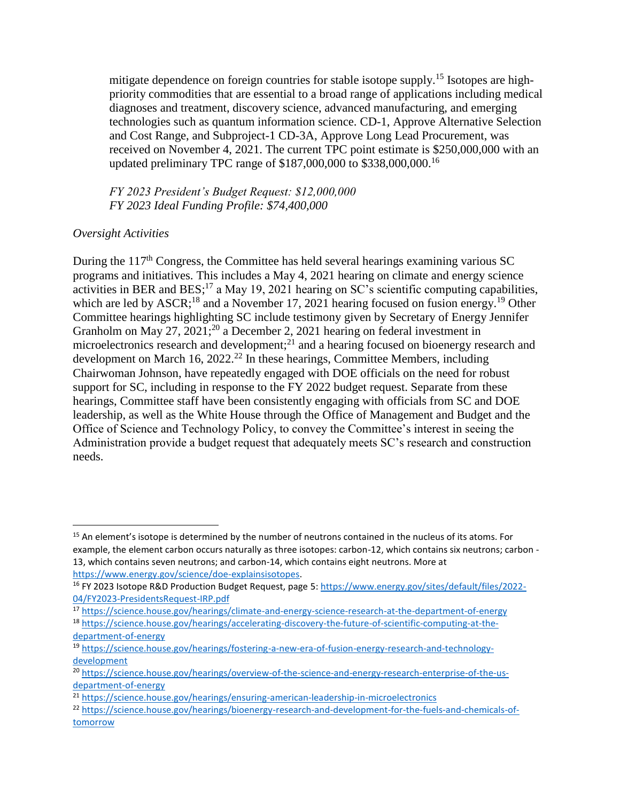mitigate dependence on foreign countries for stable isotope supply.<sup>15</sup> Isotopes are highpriority commodities that are essential to a broad range of applications including medical diagnoses and treatment, discovery science, advanced manufacturing, and emerging technologies such as quantum information science. CD-1, Approve Alternative Selection and Cost Range, and Subproject-1 CD-3A, Approve Long Lead Procurement, was received on November 4, 2021. The current TPC point estimate is \$250,000,000 with an updated preliminary TPC range of \$187,000,000 to \$338,000,000.<sup>16</sup>

*FY 2023 President's Budget Request: \$12,000,000 FY 2023 Ideal Funding Profile: \$74,400,000*

## *Oversight Activities*

 $\overline{\phantom{a}}$ 

During the 117<sup>th</sup> Congress, the Committee has held several hearings examining various SC programs and initiatives. This includes a May 4, 2021 hearing on climate and energy science activities in BER and BES;<sup>17</sup> a May 19, 2021 hearing on SC's scientific computing capabilities, which are led by  $ASCR$ <sup>18</sup> and a November 17, 2021 hearing focused on fusion energy.<sup>19</sup> Other Committee hearings highlighting SC include testimony given by Secretary of Energy Jennifer Granholm on May 27, 2021;<sup>20</sup> a December 2, 2021 hearing on federal investment in microelectronics research and development;<sup>21</sup> and a hearing focused on bioenergy research and development on March 16, 2022.<sup>22</sup> In these hearings, Committee Members, including Chairwoman Johnson, have repeatedly engaged with DOE officials on the need for robust support for SC, including in response to the FY 2022 budget request. Separate from these hearings, Committee staff have been consistently engaging with officials from SC and DOE leadership, as well as the White House through the Office of Management and Budget and the Office of Science and Technology Policy, to convey the Committee's interest in seeing the Administration provide a budget request that adequately meets SC's research and construction needs.

<sup>&</sup>lt;sup>15</sup> An element's isotope is determined by the number of neutrons contained in the nucleus of its atoms. For example, the element carbon occurs naturally as three isotopes: carbon-12, which contains six neutrons; carbon - 13, which contains seven neutrons; and carbon-14, which contains eight neutrons. More at [https://www.energy.gov/science/doe-explainsisotopes.](https://www.energy.gov/science/doe-explainsisotopes)

<sup>&</sup>lt;sup>16</sup> FY 2023 Isotope R&D Production Budget Request, page 5: [https://www.energy.gov/sites/default/files/2022-](https://www.energy.gov/sites/default/files/2022-04/FY2023-PresidentsRequest-IRP.pdf) [04/FY2023-PresidentsRequest-IRP.pdf](https://www.energy.gov/sites/default/files/2022-04/FY2023-PresidentsRequest-IRP.pdf)

<sup>17</sup> <https://science.house.gov/hearings/climate-and-energy-science-research-at-the-department-of-energy>

<sup>18</sup> [https://science.house.gov/hearings/accelerating-discovery-the-future-of-scientific-computing-at-the](https://science.house.gov/hearings/accelerating-discovery-the-future-of-scientific-computing-at-the-department-of-energy)[department-of-energy](https://science.house.gov/hearings/accelerating-discovery-the-future-of-scientific-computing-at-the-department-of-energy)

<sup>19</sup> [https://science.house.gov/hearings/fostering-a-new-era-of-fusion-energy-research-and-technology](https://science.house.gov/hearings/fostering-a-new-era-of-fusion-energy-research-and-technology-development)[development](https://science.house.gov/hearings/fostering-a-new-era-of-fusion-energy-research-and-technology-development)

<sup>20</sup> [https://science.house.gov/hearings/overview-of-the-science-and-energy-research-enterprise-of-the-us](https://science.house.gov/hearings/overview-of-the-science-and-energy-research-enterprise-of-the-us-department-of-energy)[department-of-energy](https://science.house.gov/hearings/overview-of-the-science-and-energy-research-enterprise-of-the-us-department-of-energy)

<sup>21</sup> <https://science.house.gov/hearings/ensuring-american-leadership-in-microelectronics>

<sup>22</sup> [https://science.house.gov/hearings/bioenergy-research-and-development-for-the-fuels-and-chemicals-of](https://science.house.gov/hearings/bioenergy-research-and-development-for-the-fuels-and-chemicals-of-tomorrow)[tomorrow](https://science.house.gov/hearings/bioenergy-research-and-development-for-the-fuels-and-chemicals-of-tomorrow)